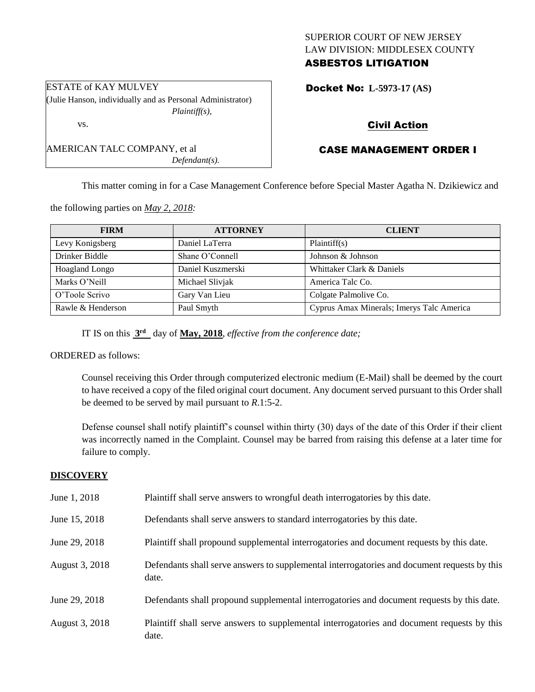### SUPERIOR COURT OF NEW JERSEY LAW DIVISION: MIDDLESEX COUNTY ASBESTOS LITIGATION

Docket No: **L-5973-17 (AS)** 

### Civil Action

## CASE MANAGEMENT ORDER I

This matter coming in for a Case Management Conference before Special Master Agatha N. Dzikiewicz and

the following parties on *May 2, 2018:*

AMERICAN TALC COMPANY, et al

| <b>FIRM</b>       | <b>ATTORNEY</b>   | <b>CLIENT</b>                             |
|-------------------|-------------------|-------------------------------------------|
| Levy Konigsberg   | Daniel LaTerra    | Plaintiff(s)                              |
| Drinker Biddle    | Shane O'Connell   | Johnson & Johnson                         |
| Hoagland Longo    | Daniel Kuszmerski | Whittaker Clark & Daniels                 |
| Marks O'Neill     | Michael Slivjak   | America Talc Co.                          |
| O'Toole Scrivo    | Gary Van Lieu     | Colgate Palmolive Co.                     |
| Rawle & Henderson | Paul Smyth        | Cyprus Amax Minerals; Imerys Talc America |

IT IS on this **3 rd** day of **May, 2018**, *effective from the conference date;*

#### ORDERED as follows:

Counsel receiving this Order through computerized electronic medium (E-Mail) shall be deemed by the court to have received a copy of the filed original court document. Any document served pursuant to this Order shall be deemed to be served by mail pursuant to *R*.1:5-2.

Defense counsel shall notify plaintiff's counsel within thirty (30) days of the date of this Order if their client was incorrectly named in the Complaint. Counsel may be barred from raising this defense at a later time for failure to comply.

#### **DISCOVERY**

| June 1, 2018   | Plaintiff shall serve answers to wrongful death interrogatories by this date.                         |
|----------------|-------------------------------------------------------------------------------------------------------|
| June 15, 2018  | Defendants shall serve answers to standard interrogatories by this date.                              |
| June 29, 2018  | Plaintiff shall propound supplemental interrogatories and document requests by this date.             |
| August 3, 2018 | Defendants shall serve answers to supplemental interrogatories and document requests by this<br>date. |
| June 29, 2018  | Defendants shall propound supplemental interrogatories and document requests by this date.            |
| August 3, 2018 | Plaintiff shall serve answers to supplemental interrogatories and document requests by this<br>date.  |

ESTATE of KAY MULVEY (Julie Hanson, individually and as Personal Administrator) *Plaintiff(s),*

*Defendant(s).*

vs.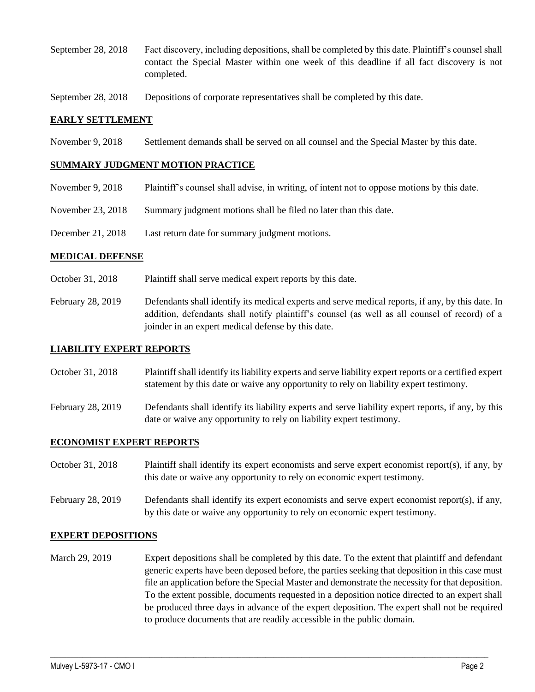- September 28, 2018 Fact discovery, including depositions, shall be completed by this date. Plaintiff's counsel shall contact the Special Master within one week of this deadline if all fact discovery is not completed.
- September 28, 2018 Depositions of corporate representatives shall be completed by this date.

#### **EARLY SETTLEMENT**

November 9, 2018 Settlement demands shall be served on all counsel and the Special Master by this date.

#### **SUMMARY JUDGMENT MOTION PRACTICE**

- November 9, 2018 Plaintiff's counsel shall advise, in writing, of intent not to oppose motions by this date.
- November 23, 2018 Summary judgment motions shall be filed no later than this date.
- December 21, 2018 Last return date for summary judgment motions.

#### **MEDICAL DEFENSE**

- October 31, 2018 Plaintiff shall serve medical expert reports by this date.
- February 28, 2019 Defendants shall identify its medical experts and serve medical reports, if any, by this date. In addition, defendants shall notify plaintiff's counsel (as well as all counsel of record) of a joinder in an expert medical defense by this date.

#### **LIABILITY EXPERT REPORTS**

- October 31, 2018 Plaintiff shall identify its liability experts and serve liability expert reports or a certified expert statement by this date or waive any opportunity to rely on liability expert testimony.
- February 28, 2019 Defendants shall identify its liability experts and serve liability expert reports, if any, by this date or waive any opportunity to rely on liability expert testimony.

#### **ECONOMIST EXPERT REPORTS**

- October 31, 2018 Plaintiff shall identify its expert economists and serve expert economist report(s), if any, by this date or waive any opportunity to rely on economic expert testimony.
- February 28, 2019 Defendants shall identify its expert economists and serve expert economist report(s), if any, by this date or waive any opportunity to rely on economic expert testimony.

#### **EXPERT DEPOSITIONS**

March 29, 2019 Expert depositions shall be completed by this date. To the extent that plaintiff and defendant generic experts have been deposed before, the parties seeking that deposition in this case must file an application before the Special Master and demonstrate the necessity for that deposition. To the extent possible, documents requested in a deposition notice directed to an expert shall be produced three days in advance of the expert deposition. The expert shall not be required to produce documents that are readily accessible in the public domain.

 $\_$  ,  $\_$  ,  $\_$  ,  $\_$  ,  $\_$  ,  $\_$  ,  $\_$  ,  $\_$  ,  $\_$  ,  $\_$  ,  $\_$  ,  $\_$  ,  $\_$  ,  $\_$  ,  $\_$  ,  $\_$  ,  $\_$  ,  $\_$  ,  $\_$  ,  $\_$  ,  $\_$  ,  $\_$  ,  $\_$  ,  $\_$  ,  $\_$  ,  $\_$  ,  $\_$  ,  $\_$  ,  $\_$  ,  $\_$  ,  $\_$  ,  $\_$  ,  $\_$  ,  $\_$  ,  $\_$  ,  $\_$  ,  $\_$  ,